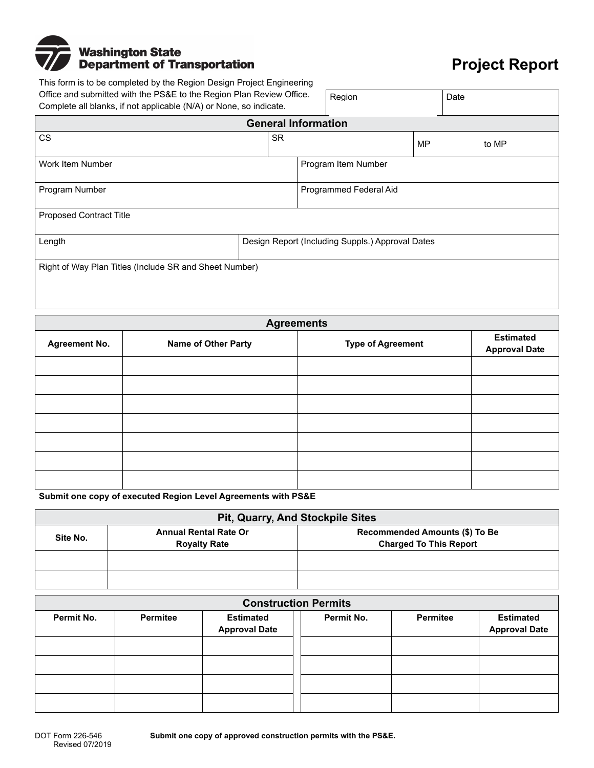## **Washington State<br>Department of Transportation**

## **Project Report**

This form is to be completed by the Region Design Project Engineering Office and submitted with the PS&E to the Region Plan Review Office. Complete all blanks, if not applicable (N/A) or None, so indicate. Region Date

| Complete all bidrins, if not applicable (ty/A) or typite, so indicate. |                                                  |  |                        |       |  |
|------------------------------------------------------------------------|--------------------------------------------------|--|------------------------|-------|--|
| <b>General Information</b>                                             |                                                  |  |                        |       |  |
| <b>CS</b>                                                              | <b>SR</b>                                        |  | <b>MP</b>              | to MP |  |
| Work Item Number                                                       |                                                  |  | Program Item Number    |       |  |
| Program Number                                                         |                                                  |  | Programmed Federal Aid |       |  |
| <b>Proposed Contract Title</b>                                         |                                                  |  |                        |       |  |
| Length                                                                 | Design Report (Including Suppls.) Approval Dates |  |                        |       |  |
| Right of Way Plan Titles (Include SR and Sheet Number)                 |                                                  |  |                        |       |  |

| <b>Agreements</b>    |                            |                          |                                          |  |  |
|----------------------|----------------------------|--------------------------|------------------------------------------|--|--|
| <b>Agreement No.</b> | <b>Name of Other Party</b> | <b>Type of Agreement</b> | <b>Estimated</b><br><b>Approval Date</b> |  |  |
|                      |                            |                          |                                          |  |  |
|                      |                            |                          |                                          |  |  |
|                      |                            |                          |                                          |  |  |
|                      |                            |                          |                                          |  |  |
|                      |                            |                          |                                          |  |  |
|                      |                            |                          |                                          |  |  |
|                      |                            |                          |                                          |  |  |

**Submit one copy of executed Region Level Agreements with PS&E** 

| Pit, Quarry, And Stockpile Sites |                                                     |                                                                 |  |  |
|----------------------------------|-----------------------------------------------------|-----------------------------------------------------------------|--|--|
| Site No.                         | <b>Annual Rental Rate Or</b><br><b>Royalty Rate</b> | Recommended Amounts (\$) To Be<br><b>Charged To This Report</b> |  |  |
|                                  |                                                     |                                                                 |  |  |
|                                  |                                                     |                                                                 |  |  |

| <b>Construction Permits</b> |                 |                                          |            |          |                                          |
|-----------------------------|-----------------|------------------------------------------|------------|----------|------------------------------------------|
| Permit No.                  | <b>Permitee</b> | <b>Estimated</b><br><b>Approval Date</b> | Permit No. | Permitee | <b>Estimated</b><br><b>Approval Date</b> |
|                             |                 |                                          |            |          |                                          |
|                             |                 |                                          |            |          |                                          |
|                             |                 |                                          |            |          |                                          |
|                             |                 |                                          |            |          |                                          |

**Submit one copy of approved construction permits with the PS&E.**